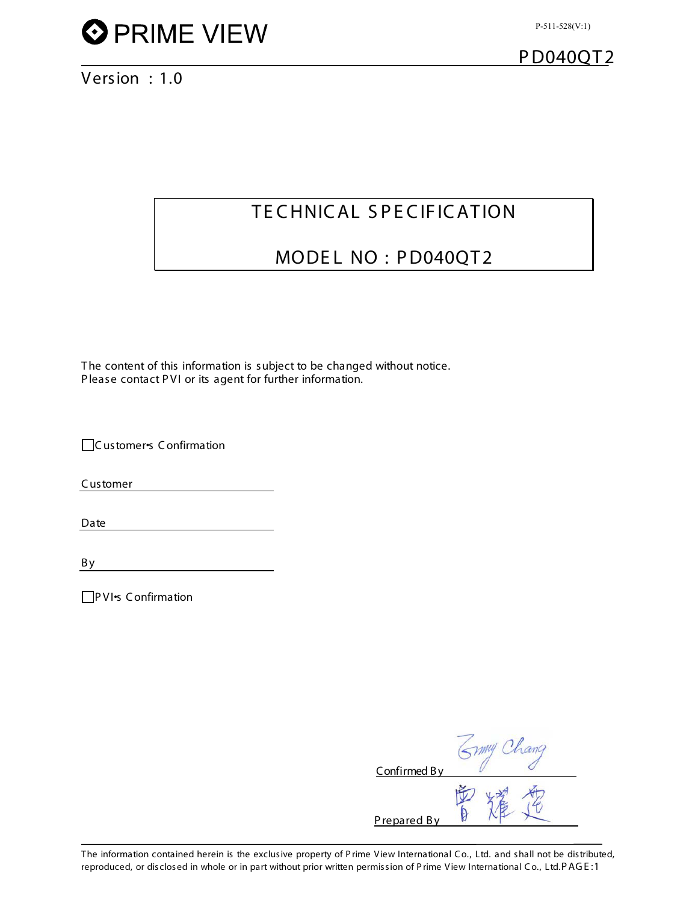

Version : 1.0

## TE CHNICAL SPECIFICATION

## MODEL NO : PD040QT2

The content of this information is subject to be changed without notice. P lease contact PVI or its agent for further information.

□Customer•s Confirmation

Customer

Date

By

PVI•s Confirmation

| Confirmed By | MAY Chance |
|--------------|------------|
| Prepared By  |            |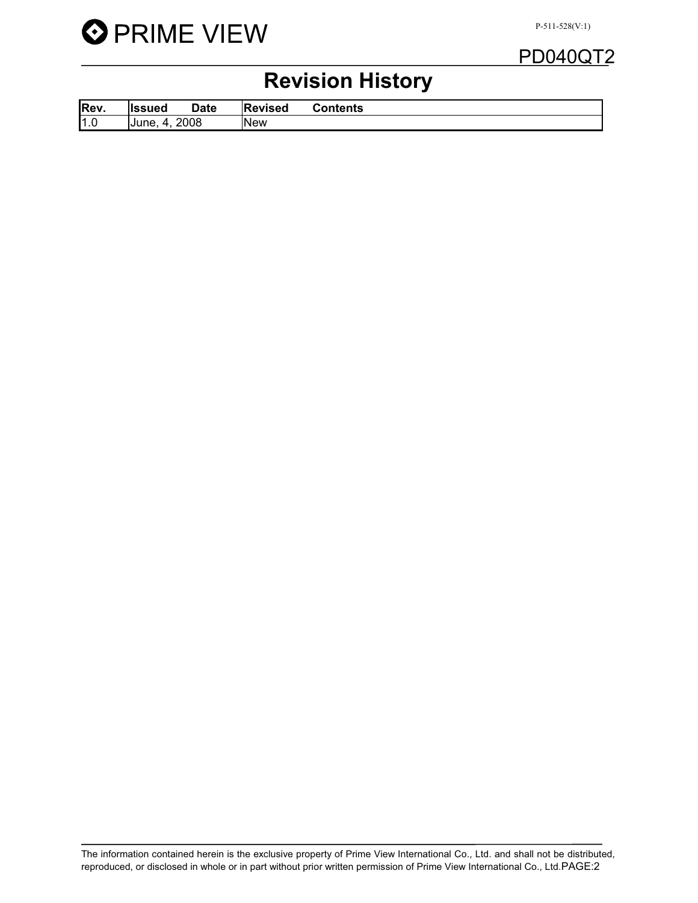

## PD040QT2

## Revision History

| Rev. | llssued             | Date | lRevised | Contents |
|------|---------------------|------|----------|----------|
| 1.0  | 2008<br>IJune.<br>л |      | INew     |          |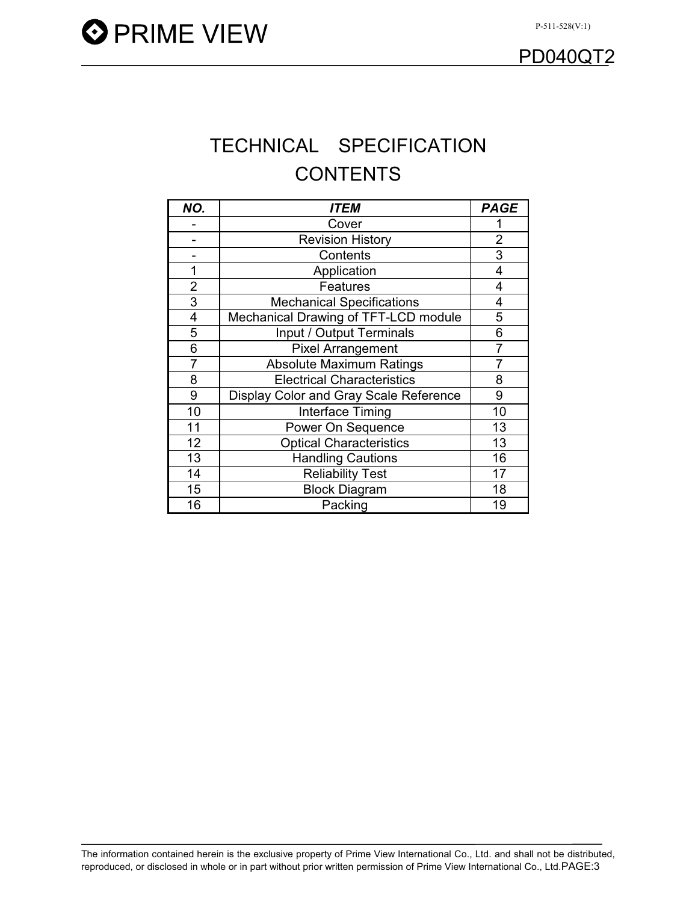## TECHNICAL SPECIFICATION **CONTENTS**

| NO.            | <b>ITEM</b>                            | <b>PAGE</b> |
|----------------|----------------------------------------|-------------|
|                | Cover                                  |             |
|                | <b>Revision History</b>                | 2           |
|                | Contents                               | 3           |
|                | Application                            | 4           |
| $\overline{2}$ | Features                               | 4           |
| 3              | <b>Mechanical Specifications</b>       | 4           |
| 4              | Mechanical Drawing of TFT-LCD module   | 5           |
| 5              | Input / Output Terminals               | 6           |
| 6              | <b>Pixel Arrangement</b>               | 7           |
| 7              | <b>Absolute Maximum Ratings</b>        | 7           |
| 8              | <b>Electrical Characteristics</b>      | 8           |
| 9              | Display Color and Gray Scale Reference | 9           |
| 10             | Interface Timing                       | 10          |
| 11             | Power On Sequence                      | 13          |
| 12             | <b>Optical Characteristics</b>         | 13          |
| 13             | <b>Handling Cautions</b>               | 16          |
| 14             | <b>Reliability Test</b>                | 17          |
| 15             | <b>Block Diagram</b>                   | 18          |
| 16             | Packing                                | 19          |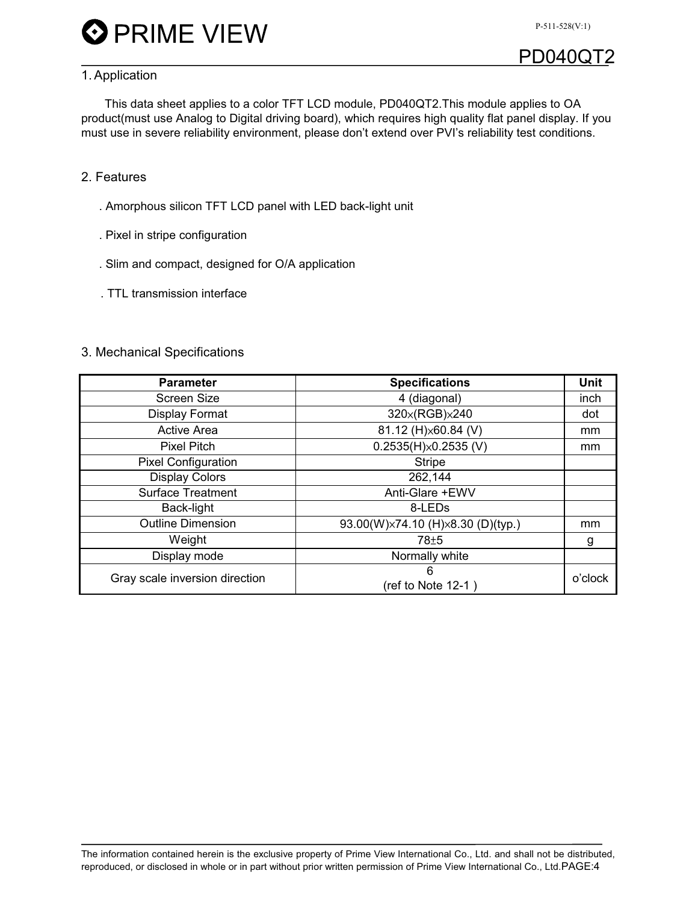P-511-528(V:1)

## **PD040QT**

### 1. Application

This data sheet applies to a color TFT LCD module, PD040QT2.This module applies to OA product(must use Analog to Digital driving board), which requires high quality flat panel display. If you must use in severe reliability environment, please don't extend over PVI's reliability test conditions.

### 2. Features

- . Amorphous silicon TFT LCD panel with LED back-light unit
- . Pixel in stripe configuration
- . Slim and compact, designed for O/A application
- . TTL transmission interface

#### 3. Mechanical Specifications

| <b>Specifications</b>             | Unit               |
|-----------------------------------|--------------------|
| 4 (diagonal)                      | inch               |
| 320×(RGB)×240                     | dot                |
| 81.12 (H) × 60.84 (V)             | mm                 |
| $0.2535(H)\times 0.2535(V)$       | mm                 |
| <b>Stripe</b>                     |                    |
| 262,144                           |                    |
| Anti-Glare +EWV                   |                    |
| 8-LED <sub>s</sub>                |                    |
| 93.00(W)×74.10 (H)×8.30 (D)(typ.) | mm                 |
| 78 <sup>±5</sup>                  | g                  |
| Normally white                    |                    |
| 6                                 | o'clock            |
|                                   | (ref to Note 12-1) |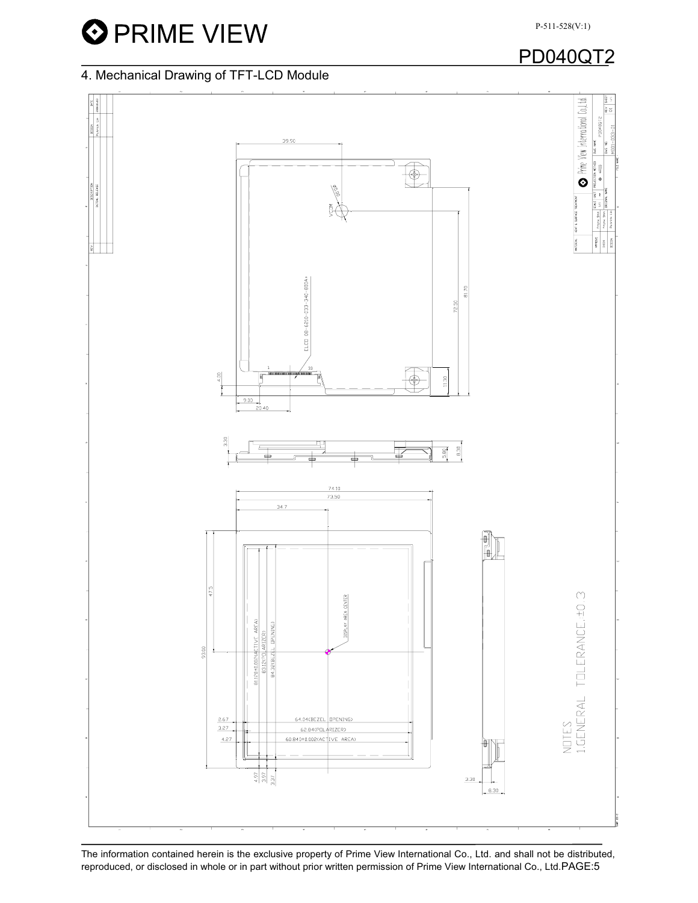## PD040QT2

### 4. Mechanical Drawing of TFT-LCD Module



The information contained herein is the exclusive property of Prime View International Co., Ltd. and shall not be distributed, reproduced, or disclosed in whole or in part without prior written permission of Prime View International Co., Ltd.PAGE:5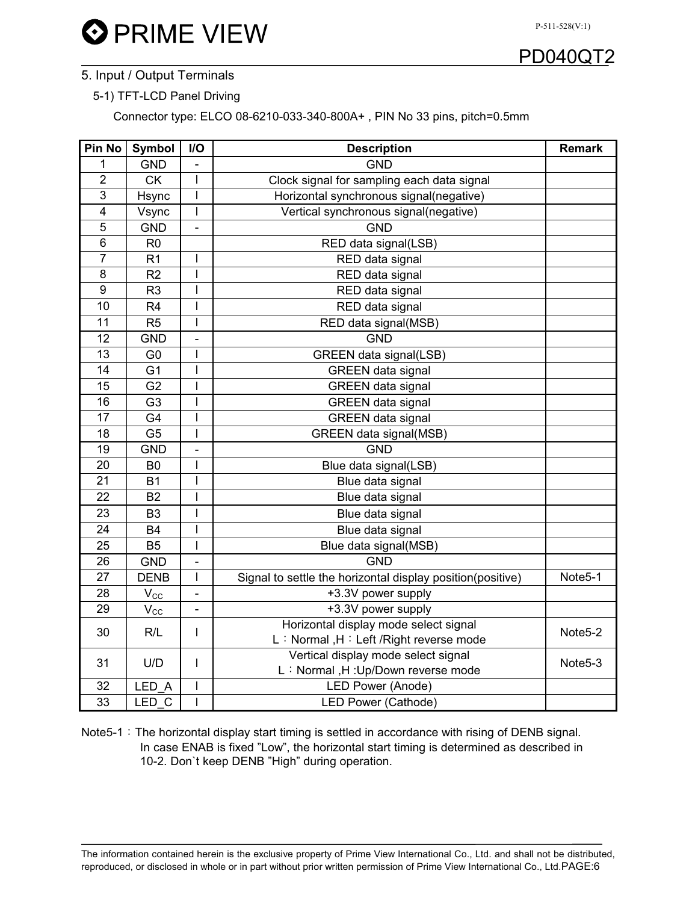

### 5. Input / Output Terminals

#### 5-1) TFT-LCD Panel Driving

Connector type: ELCO 08-6210-033-340-800A+ , PIN No 33 pins, pitch=0.5mm

| Pin No         | Symbol          | I/O                      | <b>Description</b>                                         | <b>Remark</b>        |  |  |
|----------------|-----------------|--------------------------|------------------------------------------------------------|----------------------|--|--|
| 1              | <b>GND</b>      | $\blacksquare$           | <b>GND</b>                                                 |                      |  |  |
| $\overline{2}$ | <b>CK</b>       | I                        | Clock signal for sampling each data signal                 |                      |  |  |
| 3              | Hsync           | $\overline{1}$           | Horizontal synchronous signal(negative)                    |                      |  |  |
| $\overline{4}$ | Vsync           | $\overline{1}$           | Vertical synchronous signal(negative)                      |                      |  |  |
| 5              | <b>GND</b>      | $\overline{a}$           | <b>GND</b>                                                 |                      |  |  |
| 6              | R <sub>0</sub>  |                          | RED data signal(LSB)                                       |                      |  |  |
| $\overline{7}$ | R <sub>1</sub>  | I                        | RED data signal                                            |                      |  |  |
| 8              | R <sub>2</sub>  | I                        | RED data signal                                            |                      |  |  |
| 9              | R <sub>3</sub>  | I                        | RED data signal                                            |                      |  |  |
| 10             | R <sub>4</sub>  | $\overline{1}$           | RED data signal                                            |                      |  |  |
| 11             | R <sub>5</sub>  | I                        | RED data signal(MSB)                                       |                      |  |  |
| 12             | <b>GND</b>      | $\overline{a}$           | <b>GND</b>                                                 |                      |  |  |
| 13             | G <sub>0</sub>  | I                        | GREEN data signal(LSB)                                     |                      |  |  |
| 14             | G <sub>1</sub>  | I                        | <b>GREEN</b> data signal                                   |                      |  |  |
| 15             | G <sub>2</sub>  | I                        | <b>GREEN</b> data signal                                   |                      |  |  |
| 16             | G <sub>3</sub>  | I                        | <b>GREEN</b> data signal                                   |                      |  |  |
| 17             | G4              | I                        | <b>GREEN</b> data signal                                   |                      |  |  |
| 18             | G <sub>5</sub>  | $\overline{1}$           | GREEN data signal(MSB)                                     |                      |  |  |
| 19             | <b>GND</b>      | $\overline{a}$           | <b>GND</b>                                                 |                      |  |  |
| 20             | B <sub>0</sub>  | $\mathbf I$              | Blue data signal(LSB)                                      |                      |  |  |
| 21             | <b>B1</b>       | $\overline{1}$           | Blue data signal                                           |                      |  |  |
| 22             | <b>B2</b>       | I                        | Blue data signal                                           |                      |  |  |
| 23             | B <sub>3</sub>  | $\overline{\phantom{a}}$ | Blue data signal                                           |                      |  |  |
| 24             | <b>B4</b>       | $\mathbf I$              | Blue data signal                                           |                      |  |  |
| 25             | <b>B5</b>       | I                        | Blue data signal(MSB)                                      |                      |  |  |
| 26             | <b>GND</b>      | $\overline{\phantom{0}}$ | <b>GND</b>                                                 |                      |  |  |
| 27             | <b>DENB</b>     | $\mathsf{l}$             | Signal to settle the horizontal display position(positive) | Note5-1              |  |  |
| 28             | $V_{\rm CC}$    | $\overline{\phantom{0}}$ | +3.3V power supply                                         |                      |  |  |
| 29             | $V_{\text{CC}}$ | $\overline{\phantom{0}}$ | +3.3V power supply                                         |                      |  |  |
| 30             |                 |                          | Horizontal display mode select signal                      |                      |  |  |
|                | R/L             | $\mathsf{l}$             | L: Normal, H: Left / Right reverse mode                    | Note <sub>5</sub> -2 |  |  |
| 31             |                 | I                        | Vertical display mode select signal                        |                      |  |  |
|                | U/D             |                          | L: Normal, H: Up/Down reverse mode                         | Note <sub>5</sub> -3 |  |  |
| 32             | LED A           | $\overline{\phantom{a}}$ | <b>LED Power (Anode)</b>                                   |                      |  |  |
| 33             | LED C           | I                        | LED Power (Cathode)                                        |                      |  |  |

Note5-1: The horizontal display start timing is settled in accordance with rising of DENB signal. In case ENAB is fixed "Low", the horizontal start timing is determined as described in 10-2. Don`t keep DENB "High" during operation.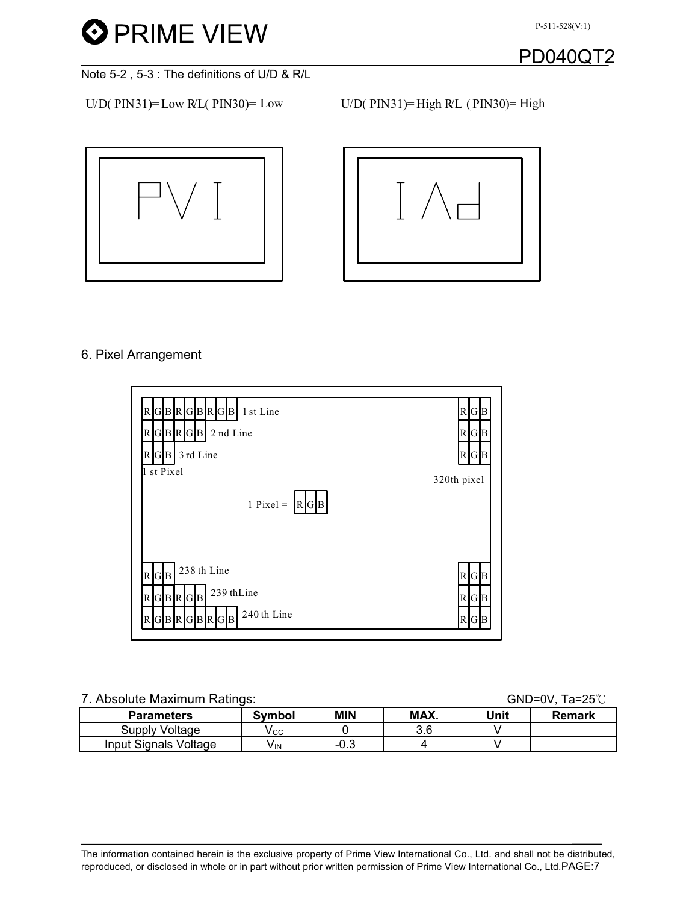



Note 5-2 , 5-3 : The definitions of U/D & R/L

 $U/D(PIN31) = Low RL(PIN30) = Low$   $U/D(PIN31) = High RL (PIN30) = High$ 





### 6. Pixel Arrangement



## 7. Absolute Maximum Ratings: GND=0V, Ta=25℃ Parameters Symbol MIN MAX. Unit Remark  $\begin{array}{c|c|c|c|c|c} \hline \text{Supply Voltage} & V_{\text{CC}} & 0 & 3.6 & V \\ \hline \text{out Signals Voltage} & V_{\text{IN}} & -0.3 & 4 & V \\ \hline \end{array}$

Input Signals Voltage  $\vert$  V<sub>IN</sub>  $\vert$  -0.3  $\vert$  4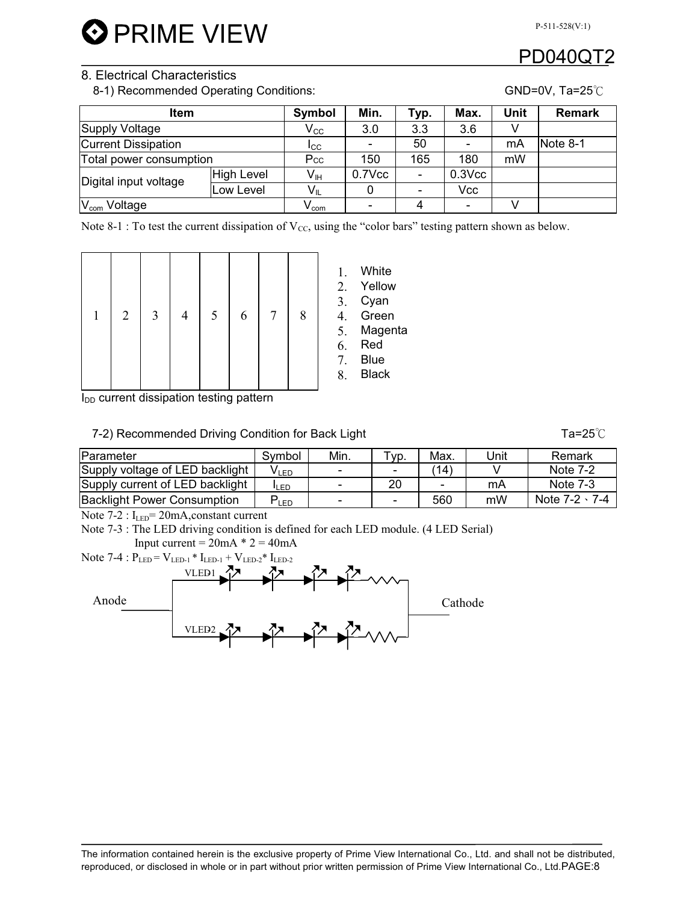### 8. Electrical Characteristics

8-1) Recommended Operating Conditions: GND=0V, Ta=25<sup>°</sup>C

| Item                       |                  | Symbol                   | Min.   | Typ.                     | Max.        | Unit     | <b>Remark</b> |
|----------------------------|------------------|--------------------------|--------|--------------------------|-------------|----------|---------------|
| Supply Voltage             | $V_{\rm CC}$     | 3.0                      | 3.3    | 3.6                      |             |          |               |
| <b>Current Dissipation</b> | $I_{\rm CC}$     | $\overline{\phantom{a}}$ | 50     |                          | mA          | Note 8-1 |               |
| Total power consumption    | Pcc              | 150                      | 165    | 180                      | mW          |          |               |
| Digital input voltage      | High Level       | $V_{\text{IH}}$          | 0.7Vcc | $\blacksquare$           | $0.3$ $Vcc$ |          |               |
|                            | Low Level        | $V_{IL}$                 |        | $\overline{\phantom{a}}$ | Vcc         |          |               |
| V <sub>com</sub> Voltage   | $V_{\text{com}}$ | $\blacksquare$           | 4      |                          |             |          |               |

Note 8-1 : To test the current dissipation of  $V_{CC}$ , using the "color bars" testing pattern shown as below.

|  | $\overline{2}$ | 3 |  | 5 | 6 |  | 8 | 2.<br>3.<br>4.<br>5.<br>6.<br>7.<br>8. | White<br>Yellow<br>Cyan<br>Green<br>Magenta<br>Red<br><b>Blue</b><br><b>Black</b> |
|--|----------------|---|--|---|---|--|---|----------------------------------------|-----------------------------------------------------------------------------------|
|--|----------------|---|--|---|---|--|---|----------------------------------------|-----------------------------------------------------------------------------------|

I<sub>DD</sub> current dissipation testing pattern

#### 7-2) Recommended Driving Condition for Back Light Tation of Tames Tames Tames Tames Tames Tames Tames Tames Tames Tames Tames Tames Tames Tames Tames Tames Tames Tames Tames Tames Tames Tames Tames Tames Tames Tames Tames

| Parameter                          | Svmbol           | Min.                     | $TVD$ . | Max.                       | Jnit | Remark               |
|------------------------------------|------------------|--------------------------|---------|----------------------------|------|----------------------|
| Supply voltage of LED backlight    | V <sub>LED</sub> | -                        |         | $^{\prime}$ 14 $^{\prime}$ |      | Note 7-2             |
| Supply current of LED backlight    | <b>ILED</b>      | $\overline{\phantom{a}}$ | 20      | ۰                          | mA   | <b>Note 7-3</b>      |
| <b>Backlight Power Consumption</b> | LED <sup>1</sup> | $\overline{\phantom{0}}$ |         | 560                        | mW   | Note $7-2 \cdot 7-4$ |

Note  $7-2$ :  $I_{LED} = 20mA$ , constant current

Note 7-3 : The LED driving condition is defined for each LED module. (4 LED Serial)

Input current =  $20mA * 2 = 40mA$ Note 7-4 :  $P_{LED} = V_{LED-1} * I_{LED-1} + V_{LED-2} * I_{LED-2}$ Cathode VLED-1 VLED2 Anode

PD0400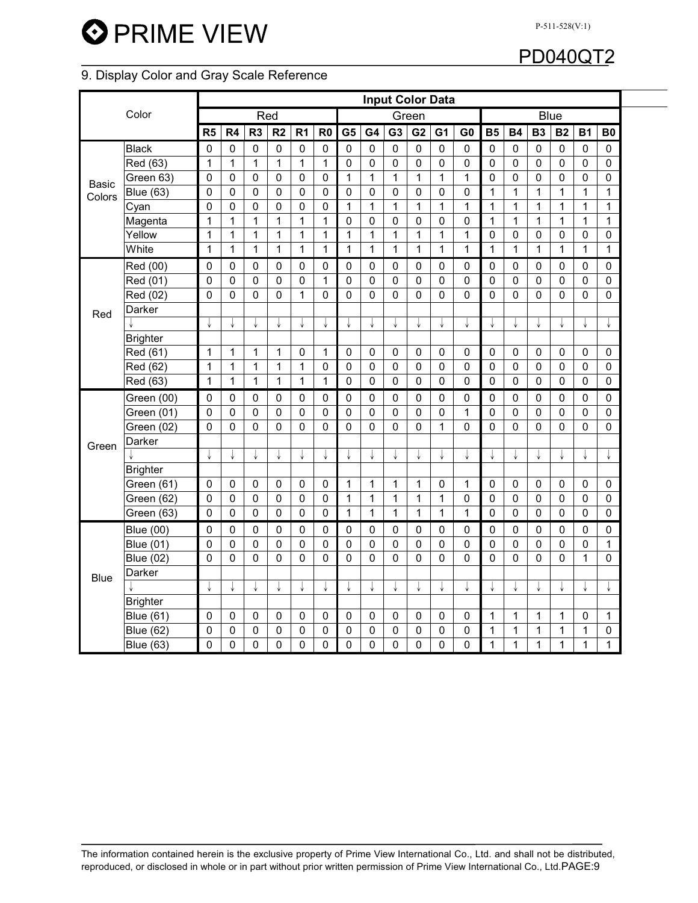### 9. Display Color and Gray Scale Reference

| <b>Input Color Data</b> |                  |                |                |                |                |                |                |                |              |                |              |                |                |              |              |              |              |                |              |  |
|-------------------------|------------------|----------------|----------------|----------------|----------------|----------------|----------------|----------------|--------------|----------------|--------------|----------------|----------------|--------------|--------------|--------------|--------------|----------------|--------------|--|
|                         | Color            |                |                |                | Red            |                |                |                |              |                | Green        |                |                |              |              |              | <b>Blue</b>  |                |              |  |
|                         |                  | R <sub>5</sub> | R4             | R <sub>3</sub> | R <sub>2</sub> | R <sub>1</sub> | R <sub>0</sub> | G <sub>5</sub> | G4           | G <sub>3</sub> | G2           | G <sub>1</sub> | G <sub>0</sub> | <b>B5</b>    | <b>B4</b>    | <b>B3</b>    | <b>B2</b>    | <b>B1</b>      | <b>B0</b>    |  |
|                         | <b>Black</b>     | $\mathbf 0$    | 0              | $\mathbf 0$    | $\mathbf 0$    | $\pmb{0}$      | $\pmb{0}$      | $\pmb{0}$      | $\mathbf 0$  | $\mathbf 0$    | $\mathbf 0$  | $\mathbf 0$    | $\pmb{0}$      | $\mathbf 0$  | $\mathbf 0$  | $\pmb{0}$    | $\mathbf 0$  | $\mathbf 0$    | $\pmb{0}$    |  |
|                         | Red (63)         | 1              | $\mathbf 1$    | $\mathbf{1}$   | $\mathbf 1$    | $\mathbf 1$    | 1              | $\pmb{0}$      | $\mathbf 0$  | $\mathbf 0$    | $\mathbf 0$  | $\pmb{0}$      | $\pmb{0}$      | $\mathbf 0$  | $\pmb{0}$    | $\pmb{0}$    | $\pmb{0}$    | $\mathbf 0$    | $\mathbf 0$  |  |
| Basic                   | Green 63)        | 0              | 0              | $\mathbf 0$    | $\mathbf 0$    | $\mathbf 0$    | $\pmb{0}$      | $\mathbf{1}$   | $\mathbf{1}$ | $\mathbf{1}$   | $\mathbf{1}$ | $\mathbf{1}$   | $\mathbf{1}$   | $\mathbf 0$  | $\pmb{0}$    | $\pmb{0}$    | 0            | $\mathbf 0$    | 0            |  |
| Colors                  | <b>Blue (63)</b> | 0              | 0              | 0              | 0              | $\mathbf 0$    | $\mathbf 0$    | 0              | $\mathbf 0$  | $\pmb{0}$      | 0            | $\mathbf 0$    | $\pmb{0}$      | $\mathbf{1}$ | $\mathbf{1}$ | $\mathbf{1}$ | 1            | 1              | 1            |  |
|                         | Cyan             | 0              | 0              | 0              | 0              | 0              | 0              | 1              | 1            | 1              | 1            | 1              | 1              | 1            | 1            | 1            | 1            | 1              | 1            |  |
|                         | Magenta          | $\mathbf 1$    | $\mathbf{1}$   | $\mathbf{1}$   | 1              | 1              | 1              | $\mathbf 0$    | $\mathbf 0$  | 0              | $\mathbf{0}$ | 0              | 0              | 1            | $\mathbf{1}$ | $\mathbf{1}$ | $\mathbf{1}$ | $\mathbf{1}$   | 1            |  |
|                         | Yellow           | 1              | $\mathbf{1}$   | $\mathbf 1$    | 1              | 1              | 1              | 1              | $\mathbf{1}$ | $\mathbf{1}$   | $\mathbf{1}$ | 1              | 1              | $\mathbf 0$  | 0            | $\mathbf 0$  | 0            | $\mathbf 0$    | 0            |  |
|                         | White            | 1              | 1              | $\mathbf 1$    | 1              | 1              | 1              | $\mathbf{1}$   | $\mathbf{1}$ | 1              | 1            | 1              | 1              | 1            | 1            | $\mathbf{1}$ | 1            | $\mathbf{1}$   | 1            |  |
|                         | Red (00)         | 0              | 0              | 0              | 0              | 0              | 0              | 0              | 0            | 0              | 0            | 0              | 0              | 0            | 0            | 0            | 0            | 0              | 0            |  |
|                         | Red (01)         | 0              | 0              | 0              | $\Omega$       | 0              | 1              | $\mathbf 0$    | $\mathbf 0$  | 0              | $\mathbf{0}$ | $\mathbf{0}$   | 0              | $\mathbf 0$  | 0            | 0            | 0            | $\mathbf 0$    | 0            |  |
|                         | Red (02)         | 0              | $\mathbf 0$    | $\Omega$       | $\mathbf 0$    | 1              | $\pmb{0}$      | $\pmb{0}$      | $\Omega$     | $\mathbf 0$    | $\Omega$     | 0              | $\mathbf 0$    | $\Omega$     | $\mathbf 0$  | 0            | 0            | $\Omega$       | $\Omega$     |  |
| Red                     | Darker           |                |                |                |                |                |                |                |              |                |              |                |                |              |              |              |              |                |              |  |
|                         |                  |                |                |                |                |                | ↓              |                |              |                |              |                |                | ↓            | ↓            | ↓            | ↓            |                |              |  |
|                         | <b>Brighter</b>  |                |                |                |                |                |                |                |              |                |              |                |                |              |              |              |              |                |              |  |
|                         | Red (61)         | 1              | $\mathbf 1$    | $\mathbf 1$    | $\mathbf{1}$   | 0              | 1              | 0              | 0            | 0              | 0            | 0              | $\mathbf 0$    | 0            | 0            | 0            | 0            | 0              | 0            |  |
|                         | Red (62)         | 1              | $\mathbf{1}$   | $\mathbf 1$    | 1              | 1              | $\pmb{0}$      | $\pmb{0}$      | $\mathbf 0$  | $\mathbf 0$    | $\mathbf 0$  | $\mathbf 0$    | $\mathbf 0$    | $\mathbf 0$  | 0            | $\mathbf 0$  | $\mathbf 0$  | $\mathbf 0$    | $\mathbf 0$  |  |
|                         | Red (63)         | 1              | $\mathbf 1$    | $\mathbf{1}$   | 1              | 1              | 1              | $\mathbf 0$    | $\mathbf 0$  | $\mathbf 0$    | $\mathbf 0$  | $\mathbf 0$    | $\pmb{0}$      | $\mathbf 0$  | $\mathbf 0$  | $\pmb{0}$    | $\pmb{0}$    | $\mathbf 0$    | $\mathbf 0$  |  |
|                         | Green (00)       | 0              | 0              | 0              | 0              | 0              | 0              | $\pmb{0}$      | $\mathbf 0$  | 0              | 0            | 0              | 0              | 0            | 0            | 0            | 0            | 0              | $\mathbf 0$  |  |
|                         | Green (01)       | 0              | 0              | 0              | $\mathbf 0$    | $\mathbf 0$    | $\mathbf 0$    | $\mathbf 0$    | $\mathbf 0$  | $\mathbf 0$    | 0            | $\mathbf{0}$   | $\mathbf{1}$   | $\mathbf 0$  | 0            | 0            | 0            | $\overline{0}$ | $\mathbf 0$  |  |
|                         | Green (02)       | 0              | $\mathbf{0}$   | 0              | 0              | 0              | $\mathbf 0$    | $\mathbf 0$    | $\mathbf 0$  | $\mathbf 0$    | 0            | 1              | $\mathbf 0$    | $\mathbf 0$  | $\mathbf 0$  | $\Omega$     | 0            | 0              | $\mathbf 0$  |  |
| Green                   | Darker           |                |                |                |                |                |                |                |              |                |              |                |                |              |              |              |              |                |              |  |
|                         |                  | ↓              | ↓              |                |                | ↓              | ↓              |                | ↓            | ↓              | ↓            | ↓              |                | ↓            | ↓            | ↓            | ↓            |                |              |  |
|                         | <b>Brighter</b>  |                |                |                |                |                |                |                |              |                |              |                |                |              |              |              |              |                |              |  |
|                         | Green (61)       | $\pmb{0}$      | 0              | 0              | 0              | 0              | $\pmb{0}$      | 1              | 1            | 1              | $\mathbf{1}$ | 0              | 1              | 0            | 0            | 0            | 0            | 0              | 0            |  |
|                         | Green (62)       | 0              | $\mathbf{0}$   | 0              | 0              | 0              | $\Omega$       | $\mathbf{1}$   | $\mathbf{1}$ | 1              | $\mathbf{1}$ | 1              | 0              | $\mathbf 0$  | 0            | 0            | $\mathbf{0}$ | 0              | 0            |  |
|                         | Green (63)       | 0              | $\mathbf 0$    | 0              | $\pmb{0}$      | $\mathbf 0$    | $\pmb{0}$      | $\mathbf{1}$   | $\mathbf{1}$ | 1              | $\mathbf{1}$ | 1              | $\mathbf 1$    | $\mathbf 0$  | $\mathbf 0$  | 0            | 0            | $\mathbf 0$    | 0            |  |
|                         | <b>Blue (00)</b> | $\mathbf 0$    | 0              | 0              | 0              | 0              | 0              | $\mathbf 0$    | $\pmb{0}$    | 0              | 0            | 0              | 0              | 0            | $\pmb{0}$    | 0            | 0            | 0              | 0            |  |
|                         | <b>Blue (01)</b> | $\mathbf 0$    | 0              | $\mathbf 0$    | $\mathbf 0$    | $\mathbf 0$    | $\pmb{0}$      | $\mathbf 0$    | $\mathbf 0$  | 0              | $\mathbf 0$  | $\mathbf 0$    | $\mathbf 0$    | $\mathbf 0$  | $\mathbf 0$  | $\mathbf 0$  | $\pmb{0}$    | $\mathbf 0$    | 1            |  |
|                         | <b>Blue (02)</b> | $\mathbf 0$    | $\mathbf{0}$   | $\mathbf 0$    | $\Omega$       | $\mathbf{0}$   | 0              | $\mathbf 0$    | $\mathbf 0$  | $\overline{0}$ | $\mathbf{0}$ | $\mathbf 0$    | $\mathbf{0}$   | $\Omega$     | $\mathbf 0$  | $\mathbf{0}$ | $\Omega$     | 1              | 0            |  |
| <b>Blue</b>             | Darker           |                |                |                |                |                |                |                |              |                |              |                |                |              |              |              |              |                |              |  |
|                         |                  | ↓              | ↓              | ↓              | ↓              | ↓              | ↓              | ↓              | ↓            | ↓              | ↓            | ↓              | ↓              | ↓            | ↓            | ↓            | ↓            | ↓              |              |  |
|                         | <b>Brighter</b>  |                |                |                |                |                |                |                |              |                |              |                |                |              |              |              |              |                |              |  |
|                         | <b>Blue (61)</b> | 0              | 0              | 0              | 0              | 0              | 0              | $\pmb{0}$      | $\mathbf 0$  | 0              | 0            | 0              | 0              | 1            | 1            | 1            | 1            | 0              | 1            |  |
|                         | <b>Blue (62)</b> | $\mathbf 0$    | 0              | 0              | 0              | $\mathbf 0$    | 0              | 0              | $\mathbf 0$  | 0              | $\mathbf{0}$ | 0              | $\mathbf 0$    | 1            | $\mathbf 1$  | 1            | 1            | 1              | 0            |  |
|                         | <b>Blue (63)</b> | 0              | $\overline{0}$ | $\overline{0}$ | $\overline{0}$ | $\mathbf 0$    | $\mathbf 0$    | $\mathbf 0$    | 0            | $\overline{0}$ | $\mathbf 0$  | $\mathbf 0$    | 0              | $\mathbf{1}$ | $\mathbf{1}$ | $\mathbf{1}$ | $\mathbf{1}$ | $\mathbf{1}$   | $\mathbf{1}$ |  |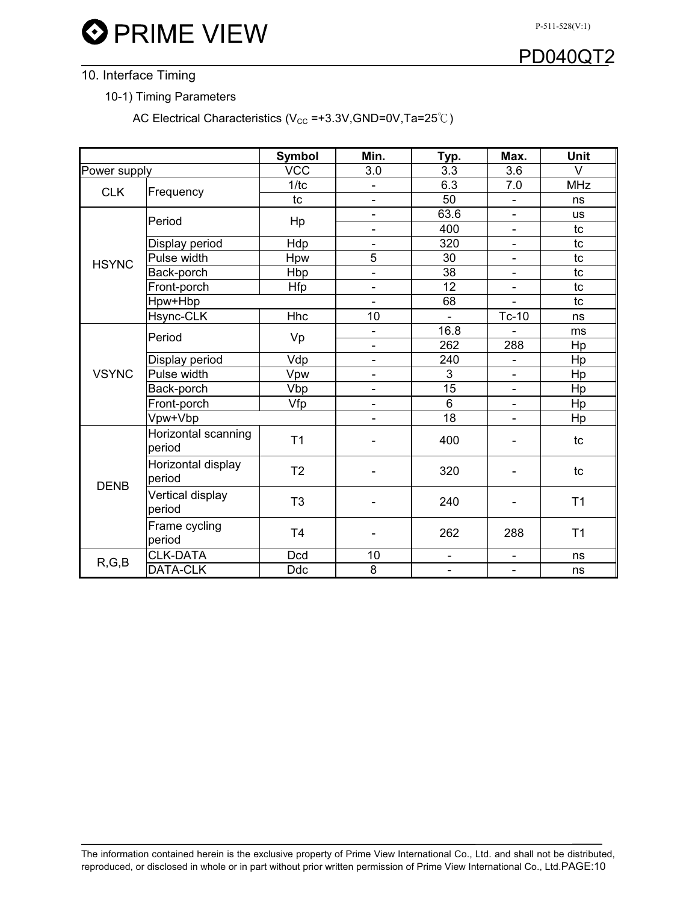P-511-528(V:1)



## 10. Interface Timing

10-1) Timing Parameters

AC Electrical Characteristics ( $V_{CC}$  =+3.3V,GND=0V,Ta=25°C)

|              |                               | Symbol         | Min.                     | Typ.                     | Max.                     | <b>Unit</b>    |
|--------------|-------------------------------|----------------|--------------------------|--------------------------|--------------------------|----------------|
| Power supply |                               | <b>VCC</b>     | 3.0                      | 3.3                      | 3.6                      | $\vee$         |
| <b>CLK</b>   | Frequency                     | 1/tc           | $\overline{\phantom{0}}$ | 6.3                      | 7.0                      | <b>MHz</b>     |
|              |                               | tc             | $\overline{\phantom{a}}$ | 50                       | $\overline{\phantom{0}}$ | ns             |
|              | Period                        | Hp             | $\overline{\phantom{a}}$ | 63.6                     | $\overline{\phantom{0}}$ | <b>us</b>      |
|              |                               |                | $\overline{\phantom{a}}$ | 400                      | $\overline{\phantom{a}}$ | tc             |
|              | Display period                | Hdp            | $\overline{a}$           | 320                      | $\overline{\phantom{0}}$ | tc             |
| <b>HSYNC</b> | Pulse width                   | Hpw            | 5                        | 30                       | $\overline{\phantom{0}}$ | tc             |
|              | Back-porch                    | Hbp            | $\overline{\phantom{0}}$ | $\overline{38}$          | $\overline{\phantom{0}}$ | tc             |
|              | Front-porch                   | Hfp            | $\overline{\phantom{a}}$ | 12                       | $\overline{\phantom{0}}$ | tc             |
|              | Hpw+Hbp                       |                |                          | 68                       | $\overline{a}$           | tc             |
|              | Hsync-CLK                     | <b>Hhc</b>     | 10                       |                          | Tc-10                    | ns             |
|              | Period                        | Vp             | $\overline{\phantom{0}}$ | 16.8                     |                          | ms             |
|              |                               |                | $\overline{\phantom{a}}$ | 262                      | 288                      | Hp             |
|              | Display period                | Vdp            | $\blacksquare$           | 240                      | $\overline{\phantom{0}}$ | Hp             |
| <b>VSYNC</b> | Pulse width                   | Vpw            | $\blacksquare$           | 3                        | $\blacksquare$           | Hp             |
|              | Back-porch                    | Vbp            | $\overline{\phantom{a}}$ | $\overline{15}$          | $\overline{\phantom{0}}$ | Hp             |
|              | Front-porch                   | Vfp            | $\overline{\phantom{a}}$ | $\overline{6}$           | $\overline{\phantom{a}}$ | Hp             |
|              | Vpw+Vbp                       |                |                          | $\overline{18}$          |                          | Hp             |
|              | Horizontal scanning<br>period | T <sub>1</sub> |                          | 400                      |                          | tc             |
| <b>DENB</b>  | Horizontal display<br>period  | T <sub>2</sub> |                          | 320                      |                          | tc             |
|              | Vertical display<br>period    | T <sub>3</sub> |                          | 240                      |                          | T <sub>1</sub> |
|              | Frame cycling<br>period       | T <sub>4</sub> |                          | 262                      | 288                      | T1             |
| R, G, B      | <b>CLK-DATA</b>               | <b>Dcd</b>     | 10                       | $\overline{\phantom{0}}$ | $\blacksquare$           | ns             |
|              | DATA-CLK                      | <b>Ddc</b>     | 8                        | $\overline{a}$           | $\blacksquare$           | ns             |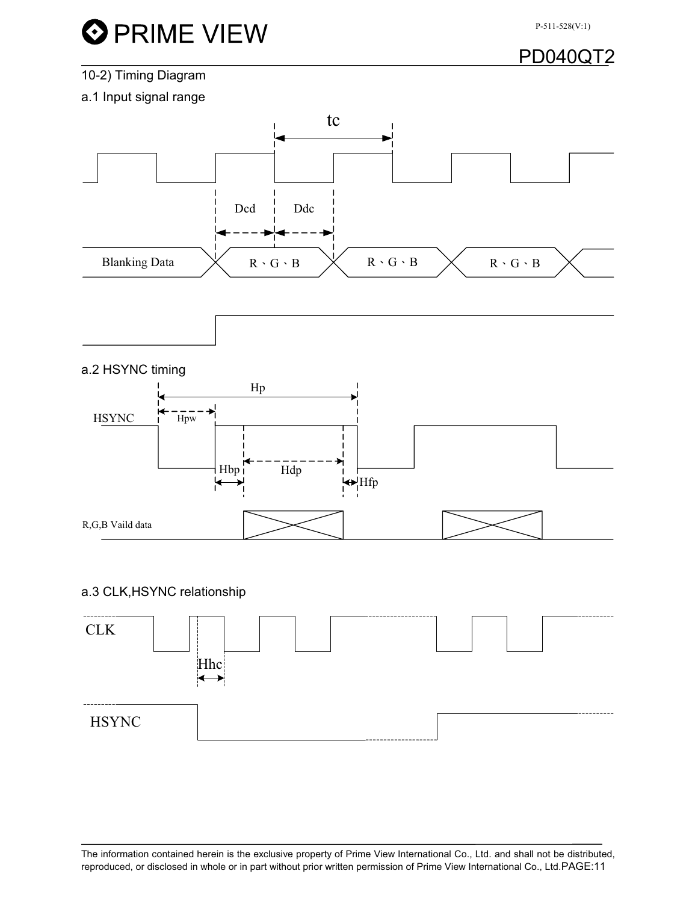

## 10-2) Timing Diagram

a.1 Input signal range



### a.2 HSYNC timing



### a.3 CLK,HSYNC relationship

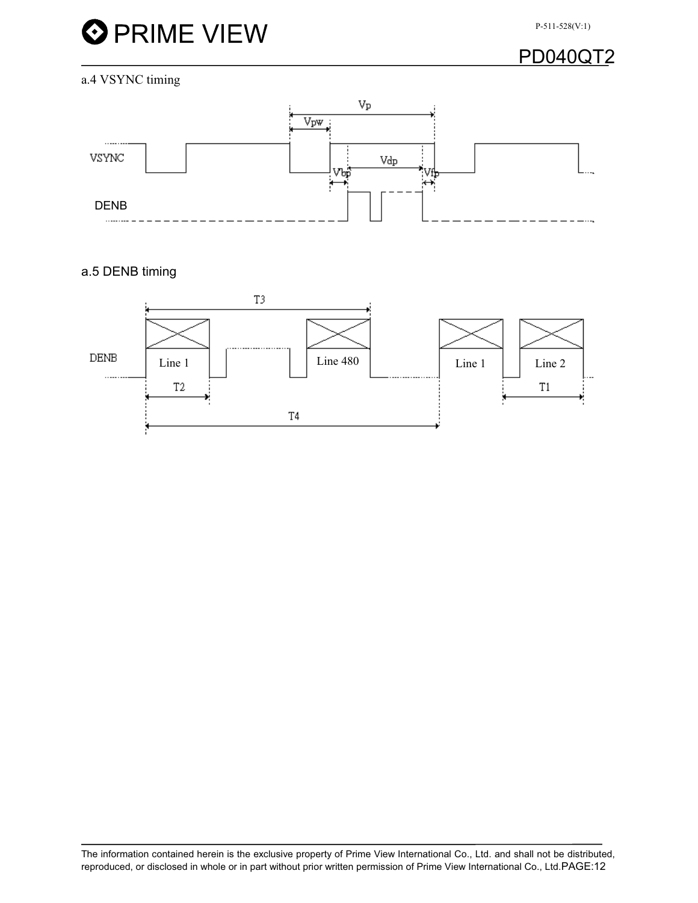

#### a.4 VSYNC timing



### a.5 DENB timing

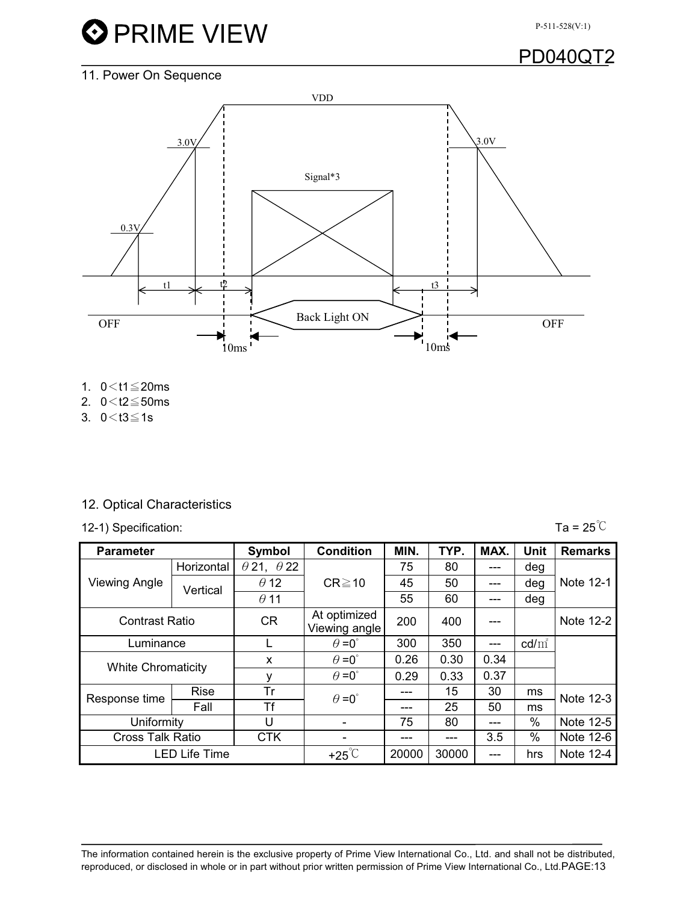P-511-528(V:1)

## PD040QT2

## 11. Power On Sequence



- 1.  $0 < t1 \leq 20$ ms
- 2.  $0 < t2 \le 50$ ms
- 3.  $0 < t3 \le 1s$

### 12. Optical Characteristics

12-1) Specification:  $\text{Ta} = 25^{\circ}C$ 

| <b>Parameter</b>          |                      | Symbol                   | <b>Condition</b>              | MIN.  | TYP.  | MAX.  | Unit     | <b>Remarks</b> |
|---------------------------|----------------------|--------------------------|-------------------------------|-------|-------|-------|----------|----------------|
|                           | Horizontal           | $\theta$ 21, $\theta$ 22 |                               | 75    | 80    | ---   | deg      |                |
| <b>Viewing Angle</b>      | Vertical             | $\theta$ 12              | $CR \ge 10$                   | 45    | 50    | ---   | deg      | Note 12-1      |
|                           |                      | $\theta$ 11              |                               | 55    | 60    | ---   | deg      |                |
| <b>Contrast Ratio</b>     |                      | <b>CR</b>                | At optimized<br>Viewing angle | 200   | 400   | ---   |          | Note 12-2      |
| Luminance                 |                      |                          | $\theta = 0^{\circ}$          | 300   | 350   | $---$ | $cd/m^2$ |                |
| <b>White Chromaticity</b> |                      | X                        | $\theta = 0^{\circ}$          | 0.26  | 0.30  | 0.34  |          |                |
|                           |                      | ٧                        | $\theta = 0^{\circ}$          | 0.29  | 0.33  | 0.37  |          |                |
| Response time             | <b>Rise</b>          | Tr                       | $\theta = 0^{\circ}$          | ---   | 15    | 30    | ms       | Note 12-3      |
|                           | Fall                 | Τf                       |                               | ---   | 25    | 50    | ms       |                |
| Uniformity                |                      | U                        |                               | 75    | 80    | ---   | $\%$     | Note 12-5      |
| <b>Cross Talk Ratio</b>   |                      | <b>CTK</b>               |                               | ---   |       | 3.5   | $\%$     | Note 12-6      |
|                           | <b>LED Life Time</b> |                          | $+25^{\circ}$ C               | 20000 | 30000 | ---   | hrs      | Note 12-4      |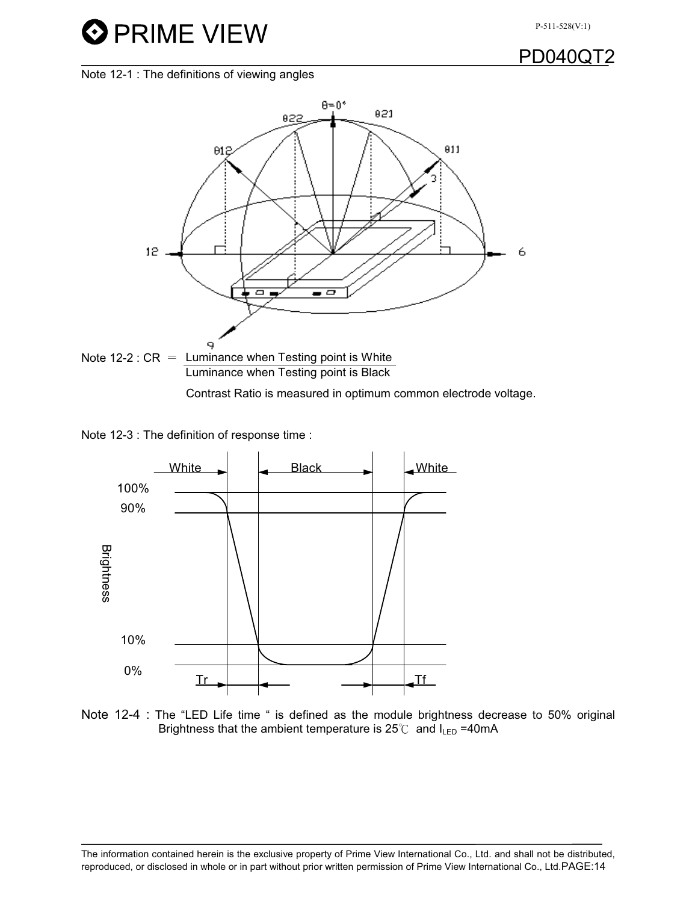

**PD0400** 

Note 12-1 : The definitions of viewing angles



Note 12-3 : The definition of response time :



Note 12-4 : The "LED Life time " is defined as the module brightness decrease to 50% original Brightness that the ambient temperature is  $25^{\circ}$  and  $I_{LED} = 40$ mA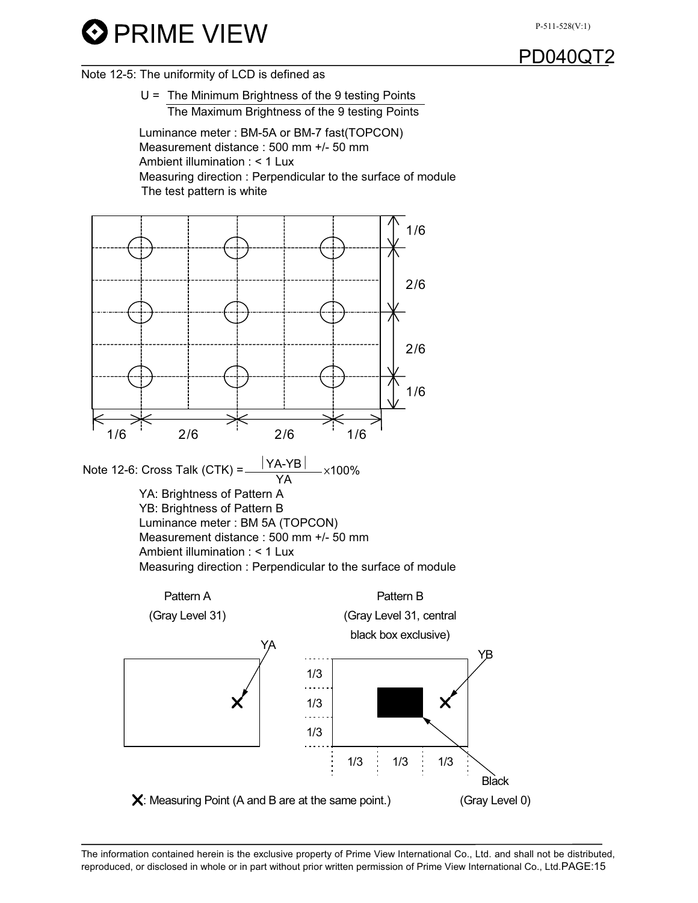

Note 12-5: The uniformity of LCD is defined as



 Luminance meter : BM-5A or BM-7 fast(TOPCON) Measurement distance : 500 mm +/- 50 mm Ambient illumination : < 1 Lux Measuring direction : Perpendicular to the surface of module The test pattern is white

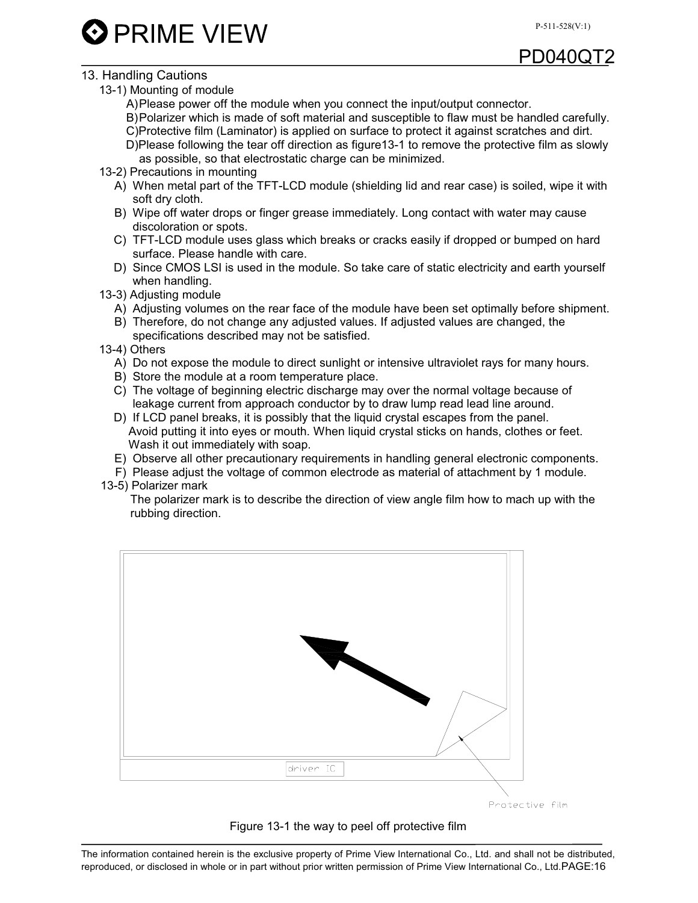$\mathbf 3$  PRIME VIEW

## $PD040O$

## 13. Handling Cautions

- 13-1) Mounting of module
	- A) Please power off the module when you connect the input/output connector.
	- B) Polarizer which is made of soft material and susceptible to flaw must be handled carefully.
	- C)Protective film (Laminator) is applied on surface to protect it against scratches and dirt.
	- D)Please following the tear off direction as figure13-1 to remove the protective film as slowly as possible, so that electrostatic charge can be minimized.
- 13-2) Precautions in mounting
	- A) When metal part of the TFT-LCD module (shielding lid and rear case) is soiled, wipe it with soft dry cloth.
	- B) Wipe off water drops or finger grease immediately. Long contact with water may cause discoloration or spots.
	- C) TFT-LCD module uses glass which breaks or cracks easily if dropped or bumped on hard surface. Please handle with care.
	- D) Since CMOS LSI is used in the module. So take care of static electricity and earth yourself when handling.
- 13-3) Adjusting module
	- A) Adjusting volumes on the rear face of the module have been set optimally before shipment.
	- B) Therefore, do not change any adjusted values. If adjusted values are changed, the specifications described may not be satisfied.
- 13-4) Others
	- A) Do not expose the module to direct sunlight or intensive ultraviolet rays for many hours.
	- B) Store the module at a room temperature place.
	- C) The voltage of beginning electric discharge may over the normal voltage because of leakage current from approach conductor by to draw lump read lead line around.
	- D) If LCD panel breaks, it is possibly that the liquid crystal escapes from the panel. Avoid putting it into eyes or mouth. When liquid crystal sticks on hands, clothes or feet. Wash it out immediately with soap.
	- E) Observe all other precautionary requirements in handling general electronic components.
	- F) Please adjust the voltage of common electrode as material of attachment by 1 module.
- 13-5) Polarizer mark

The polarizer mark is to describe the direction of view angle film how to mach up with the rubbing direction.





#### Figure 13-1 the way to peel off protective film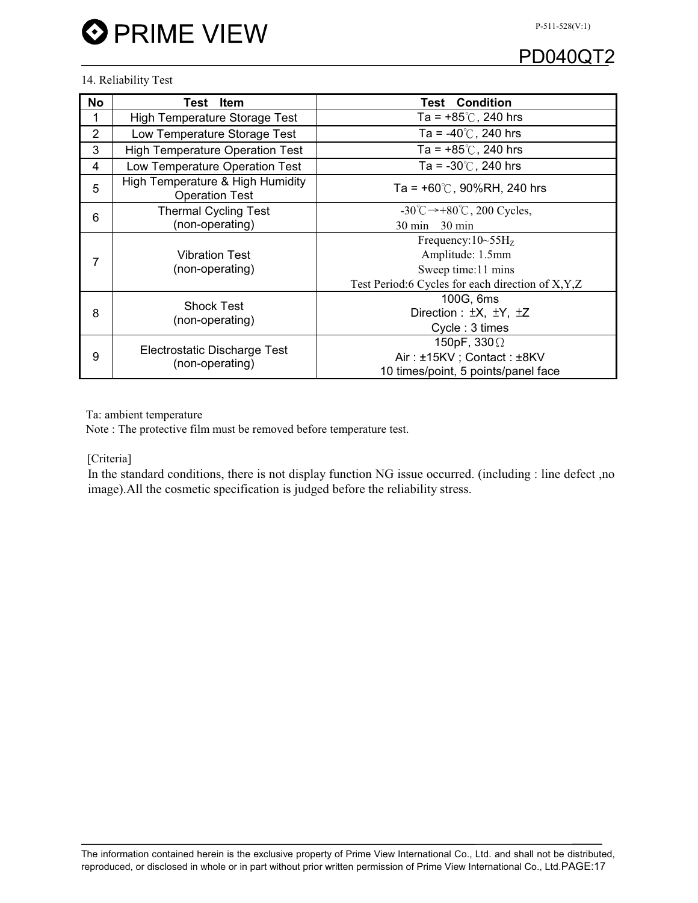#### 14. Reliability Test

| <b>No</b>      | Item<br>Test                                              | <b>Condition</b><br>Test                                 |  |  |  |
|----------------|-----------------------------------------------------------|----------------------------------------------------------|--|--|--|
|                | <b>High Temperature Storage Test</b>                      | Ta = $+85^{\circ}$ C, 240 hrs                            |  |  |  |
| $\overline{2}$ | Low Temperature Storage Test                              | Ta = $-40^{\circ}$ C, 240 hrs                            |  |  |  |
| 3              | <b>High Temperature Operation Test</b>                    | Ta = $+85^{\circ}$ C, 240 hrs                            |  |  |  |
| $\overline{4}$ | Low Temperature Operation Test                            | Ta = $-30^{\circ}$ C, 240 hrs                            |  |  |  |
| 5              | High Temperature & High Humidity<br><b>Operation Test</b> | Ta = $+60^{\circ}$ C, 90%RH, 240 hrs                     |  |  |  |
| 6              | <b>Thermal Cycling Test</b>                               | $-30^{\circ}$ C $\rightarrow +80^{\circ}$ C, 200 Cycles, |  |  |  |
|                | (non-operating)                                           | $30 \text{ min}$<br>$-30$ min                            |  |  |  |
|                |                                                           | Frequency: $10\text{~}55\text{H}_z$                      |  |  |  |
| 7              | <b>Vibration Test</b>                                     | Amplitude: 1.5mm                                         |  |  |  |
|                | (non-operating)                                           | Sweep time: 11 mins                                      |  |  |  |
|                |                                                           | Test Period:6 Cycles for each direction of X, Y, Z       |  |  |  |
|                | <b>Shock Test</b>                                         | 100G, 6ms                                                |  |  |  |
| 8              | (non-operating)                                           | Direction : $\pm X$ , $\pm Y$ , $\pm Z$                  |  |  |  |
|                |                                                           | Cycle: 3 times                                           |  |  |  |
|                |                                                           | 150pF, $330\Omega$                                       |  |  |  |
| 9              | Electrostatic Discharge Test                              | Air: ±15KV; Contact: ±8KV                                |  |  |  |
|                | (non-operating)                                           | 10 times/point, 5 points/panel face                      |  |  |  |

Ta: ambient temperature

Note : The protective film must be removed before temperature test.

[Criteria]

 In the standard conditions, there is not display function NG issue occurred. (including : line defect ,no image).All the cosmetic specification is judged before the reliability stress.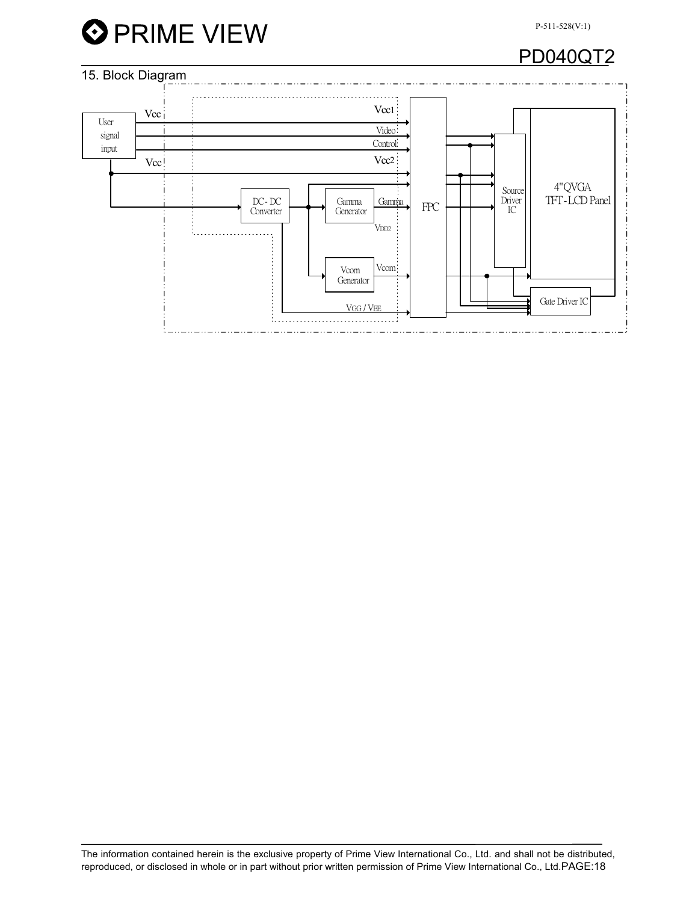

## PD040QT2